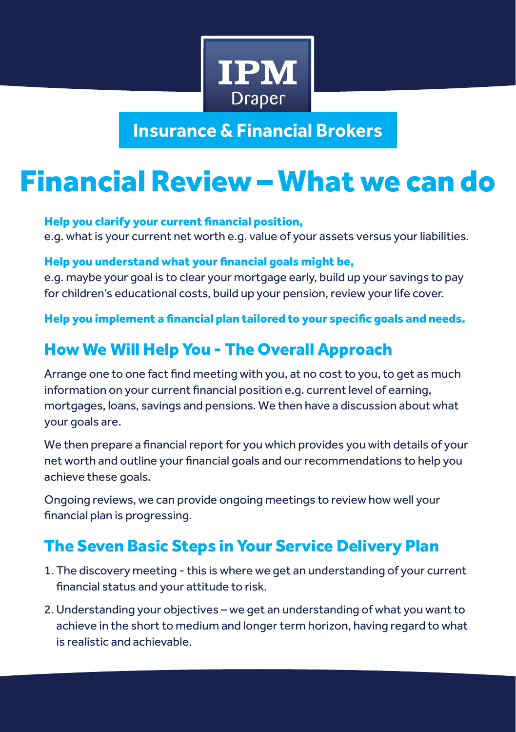

**Insurance & Financial Brokers**

## Financial Review – What we can do

Help you clarify your current financial position, e.g. what is your current net worth e.g. value of your assets versus your liabilities.

Help you understand what your financial goals might be,

e.g. maybe your goal is to clear your mortgage early, build up your savings to pay for children's educational costs, build up your pension, review your life cover.

Help you implement a financial plan tailored to your specific goals and needs.

## How We Will Help You - The Overall Approach

Arrange one to one fact find meeting with you, at no cost to you, to get as much information on your current financial position e.g. current level of earning, mortgages, loans, savings and pensions. We then have a discussion about what your goals are.

We then prepare a financial report for you which provides you with details of your net worth and outline your financial goals and our recommendations to help you achieve these goals.

Ongoing reviews, we can provide ongoing meetings to review how well your financial plan is progressing.

## The Seven Basic Steps in Your Service Delivery Plan

- 1. The discovery meeting this is where we get an understanding of your current financial status and your attitude to risk.
- 2. Understanding your objectives we get an understanding of what you want to achieve in the short to medium and longer term horizon, having regard to what is realistic and achievable.